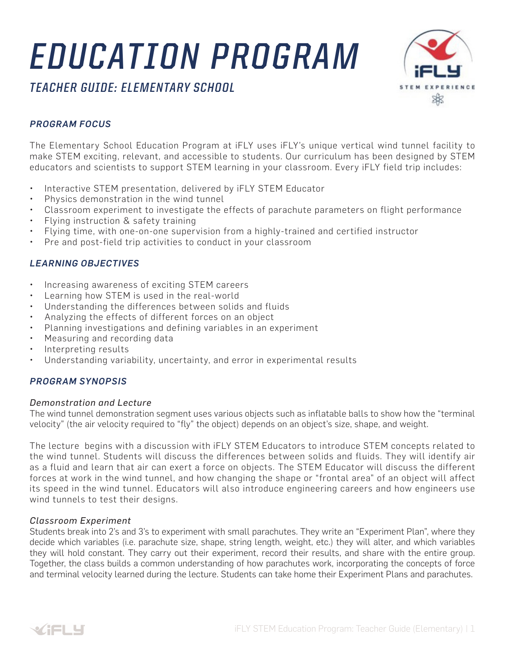# *EDUCATION PROGRAM*

*TEACHER GUIDE: ELEMENTARY SCHOOL*



# *PROGRAM FOCUS*

The Elementary School Education Program at iFLY uses iFLY's unique vertical wind tunnel facility to make STEM exciting, relevant, and accessible to students. Our curriculum has been designed by STEM educators and scientists to support STEM learning in your classroom. Every iFLY field trip includes:

- Interactive STEM presentation, delivered by iFLY STEM Educator
- Physics demonstration in the wind tunnel
- Classroom experiment to investigate the effects of parachute parameters on flight performance
- Flying instruction & safety training
- Flying time, with one-on-one supervision from a highly-trained and certified instructor
- Pre and post-field trip activities to conduct in your classroom

# *LEARNING OBJECTIVES*

- Increasing awareness of exciting STEM careers
- Learning how STEM is used in the real-world
- Understanding the differences between solids and fluids
- Analyzing the effects of different forces on an object
- Planning investigations and defining variables in an experiment
- Measuring and recording data
- Interpreting results
- Understanding variability, uncertainty, and error in experimental results

## *PROGRAM SYNOPSIS*

#### *Demonstration and Lecture*

The wind tunnel demonstration segment uses various objects such as inflatable balls to show how the "terminal velocity" (the air velocity required to "fly" the object) depends on an object's size, shape, and weight.

The lecture begins with a discussion with iFLY STEM Educators to introduce STEM concepts related to the wind tunnel. Students will discuss the differences between solids and fluids. They will identify air as a fluid and learn that air can exert a force on objects. The STEM Educator will discuss the different forces at work in the wind tunnel, and how changing the shape or "frontal area" of an object will affect its speed in the wind tunnel. Educators will also introduce engineering careers and how engineers use wind tunnels to test their designs.

#### *Classroom Experiment*

Students break into 2's and 3's to experiment with small parachutes. They write an "Experiment Plan", where they decide which variables (i.e. parachute size, shape, string length, weight, etc.) they will alter, and which variables they will hold constant. They carry out their experiment, record their results, and share with the entire group. Together, the class builds a common understanding of how parachutes work, incorporating the concepts of force and terminal velocity learned during the lecture. Students can take home their Experiment Plans and parachutes.